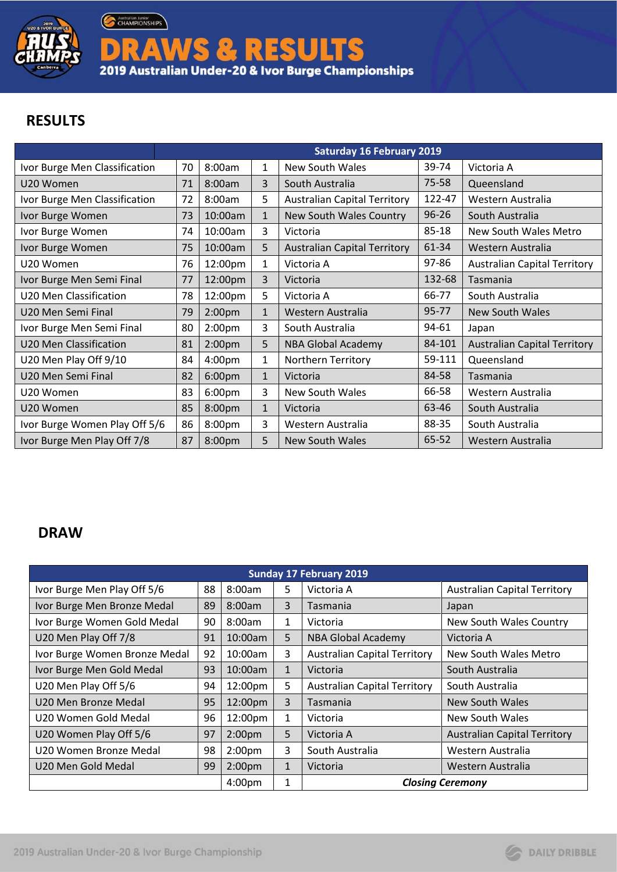

Australian Junior

DRAWS & RESULTS<br>2019 Australian Under-20 & Ivor Burge Championships

## **RESULTS**

|                               | <b>Saturday 16 February 2019</b> |                    |              |                                     |           |                                     |  |  |
|-------------------------------|----------------------------------|--------------------|--------------|-------------------------------------|-----------|-------------------------------------|--|--|
| Ivor Burge Men Classification | 70                               | 8:00am             | 1            | New South Wales                     | 39-74     | Victoria A                          |  |  |
| U20 Women                     | 71                               | 8:00am             | 3            | South Australia                     | 75-58     | Queensland                          |  |  |
| Ivor Burge Men Classification | 72                               | 8:00am             | 5            | <b>Australian Capital Territory</b> | 122-47    | Western Australia                   |  |  |
| Ivor Burge Women              | 73                               | 10:00am            | 1            | New South Wales Country             | $96 - 26$ | South Australia                     |  |  |
| Ivor Burge Women              | 74                               | 10:00am            | 3            | Victoria                            | 85-18     | New South Wales Metro               |  |  |
| Ivor Burge Women              | 75                               | 10:00am            | 5            | <b>Australian Capital Territory</b> | 61-34     | Western Australia                   |  |  |
| U20 Women                     | 76                               | 12:00pm            | 1            | Victoria A                          | 97-86     | <b>Australian Capital Territory</b> |  |  |
| Ivor Burge Men Semi Final     | 77                               | 12:00pm            | 3            | Victoria                            | 132-68    | Tasmania                            |  |  |
| U20 Men Classification        | 78                               | 12:00pm            | 5            | Victoria A                          | 66-77     | South Australia                     |  |  |
| U20 Men Semi Final            | 79                               | 2:00 <sub>pm</sub> | $\mathbf{1}$ | Western Australia                   | 95-77     | <b>New South Wales</b>              |  |  |
| Ivor Burge Men Semi Final     | 80                               | 2:00 <sub>pm</sub> | 3            | South Australia                     | 94-61     | Japan                               |  |  |
| U20 Men Classification        | 81                               | 2:00 <sub>pm</sub> | 5            | <b>NBA Global Academy</b>           | 84-101    | <b>Australian Capital Territory</b> |  |  |
| U20 Men Play Off 9/10         | 84                               | 4:00 <sub>pm</sub> | 1            | <b>Northern Territory</b>           | 59-111    | Queensland                          |  |  |
| U20 Men Semi Final            | 82                               | 6:00 <sub>pm</sub> | $\mathbf{1}$ | Victoria                            | 84-58     | Tasmania                            |  |  |
| U20 Women                     | 83                               | 6:00 <sub>pm</sub> | 3            | New South Wales                     | 66-58     | Western Australia                   |  |  |
| U20 Women                     | 85                               | 8:00pm             | $\mathbf{1}$ | Victoria                            | 63-46     | South Australia                     |  |  |
| Ivor Burge Women Play Off 5/6 | 86                               | 8:00pm             | 3            | Western Australia                   | 88-35     | South Australia                     |  |  |
| Ivor Burge Men Play Off 7/8   | 87                               | 8:00pm             | 5            | New South Wales                     | 65-52     | Western Australia                   |  |  |

## **DRAW**

| <b>Sunday 17 February 2019</b> |    |                    |              |                                     |                                     |  |  |  |  |
|--------------------------------|----|--------------------|--------------|-------------------------------------|-------------------------------------|--|--|--|--|
| Ivor Burge Men Play Off 5/6    | 88 | 8:00am             | 5            | Victoria A                          | <b>Australian Capital Territory</b> |  |  |  |  |
| Ivor Burge Men Bronze Medal    | 89 | 8:00am             | 3            | Tasmania                            | Japan                               |  |  |  |  |
| Ivor Burge Women Gold Medal    | 90 | 8:00am             | 1            | Victoria                            | New South Wales Country             |  |  |  |  |
| U20 Men Play Off 7/8           | 91 | 10:00am            | 5            | <b>NBA Global Academy</b>           | Victoria A                          |  |  |  |  |
| Ivor Burge Women Bronze Medal  | 92 | $10:00$ am         | 3            | <b>Australian Capital Territory</b> | New South Wales Metro               |  |  |  |  |
| Ivor Burge Men Gold Medal      | 93 | 10:00am            | $\mathbf{1}$ | Victoria                            | South Australia                     |  |  |  |  |
| U20 Men Play Off 5/6           | 94 | 12:00pm            | 5            | <b>Australian Capital Territory</b> | South Australia                     |  |  |  |  |
| U20 Men Bronze Medal           | 95 | 12:00pm            | 3            | Tasmania                            | New South Wales                     |  |  |  |  |
| U20 Women Gold Medal           | 96 | 12:00pm            | $\mathbf{1}$ | Victoria                            | New South Wales                     |  |  |  |  |
| U20 Women Play Off 5/6         | 97 | 2:00 <sub>pm</sub> | 5            | Victoria A                          | <b>Australian Capital Territory</b> |  |  |  |  |
| U20 Women Bronze Medal         | 98 | 2:00 <sub>pm</sub> | 3            | South Australia                     | Western Australia                   |  |  |  |  |
| U20 Men Gold Medal             | 99 | 2:00 <sub>pm</sub> | $\mathbf{1}$ | Victoria                            | Western Australia                   |  |  |  |  |
|                                |    | 4:00 <sub>pm</sub> | 1            |                                     | <b>Closing Ceremony</b>             |  |  |  |  |

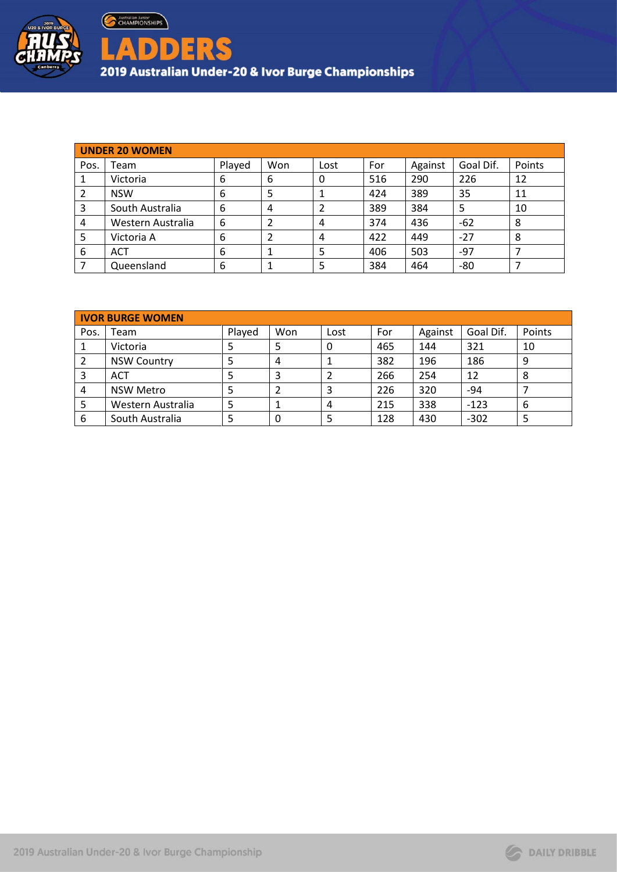

| <b>UNDER 20 WOMEN</b> |                   |        |     |      |     |         |           |        |
|-----------------------|-------------------|--------|-----|------|-----|---------|-----------|--------|
| Pos.                  | Team              | Played | Won | Lost | For | Against | Goal Dif. | Points |
|                       | Victoria          | 6      | 6   | 0    | 516 | 290     | 226       | 12     |
|                       | <b>NSW</b>        | 6      | ∍   |      | 424 | 389     | 35        | 11     |
| 3                     | South Australia   | 6      | 4   |      | 389 | 384     | 5         | 10     |
| 4                     | Western Australia | 6      |     | 4    | 374 | 436     | $-62$     | 8      |
| 5                     | Victoria A        | 6      |     | 4    | 422 | 449     | $-27$     | 8      |
| 6                     | <b>ACT</b>        | 6      |     | 5    | 406 | 503     | -97       | ⇁      |
|                       | Queensland        | 6      |     | 5    | 384 | 464     | -80       |        |

|      | <b>IVOR BURGE WOMEN</b> |        |     |      |     |         |           |        |
|------|-------------------------|--------|-----|------|-----|---------|-----------|--------|
| Pos. | Team                    | Played | Won | Lost | For | Against | Goal Dif. | Points |
|      | Victoria                |        | 5   | 0    | 465 | 144     | 321       | 10     |
| 2    | <b>NSW Country</b>      |        | 4   |      | 382 | 196     | 186       | 9      |
| 3    | <b>ACT</b>              |        | 3   |      | 266 | 254     | 12        | 8      |
| 4    | <b>NSW Metro</b>        |        |     | 3    | 226 | 320     | $-94$     |        |
|      | Western Australia       |        |     | 4    | 215 | 338     | $-123$    | 6      |
| 6    | South Australia         |        | 0   |      | 128 | 430     | $-302$    |        |